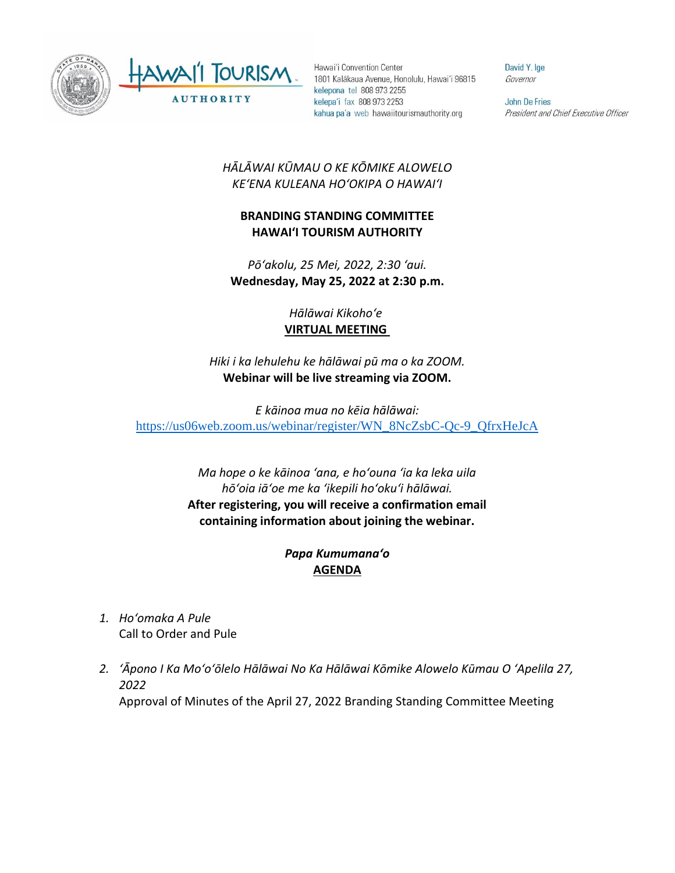

Hawai'i Convention Center 1801 Kalākaua Avenue, Honolulu, Hawai'i 96815 kelepona tel 808 973 2255 kelepa'i fax 808 973 2253 kahua pa'a web hawaiitourismauthority.org

David Y. Ige Governor

**John De Fries** President and Chief Executive Officer

## *HĀLĀWAI KŪMAU O KE KŌMIKE ALOWELO KEʻENA KULEANA HOʻOKIPA O HAWAIʻI*

## **BRANDING STANDING COMMITTEE HAWAI'I TOURISM AUTHORITY**

*Pōʻakolu, 25 Mei, 2022, 2:30 ʻaui.* **Wednesday, May 25, 2022 at 2:30 p.m.**

## *Hālāwai Kikohoʻe* **VIRTUAL MEETING**

*Hiki i ka lehulehu ke hālāwai pū ma o ka ZOOM.* **Webinar will be live streaming via ZOOM.**

*E kāinoa mua no kēia hālāwai:* [https://us06web.zoom.us/webinar/register/WN\\_8NcZsbC-Qc-9\\_QfrxHeJcA](https://us06web.zoom.us/webinar/register/WN_8NcZsbC-Qc-9_QfrxHeJcA)

> *Ma hope o ke kāinoa ʻana, e hoʻouna ʻia ka leka uila hōʻoia iāʻoe me ka ʻikepili hoʻokuʻi hālāwai.*  **After registering, you will receive a confirmation email containing information about joining the webinar.**

## *Papa Kumumanaʻo* **AGENDA**

- *1. Hoʻomaka A Pule* Call to Order and Pule
- *2. ʻĀpono I Ka Moʻoʻōlelo Hālāwai No Ka Hālāwai Kōmike Alowelo Kūmau O ʻApelila 27, 2022* Approval of Minutes of the April 27, 2022 Branding Standing Committee Meeting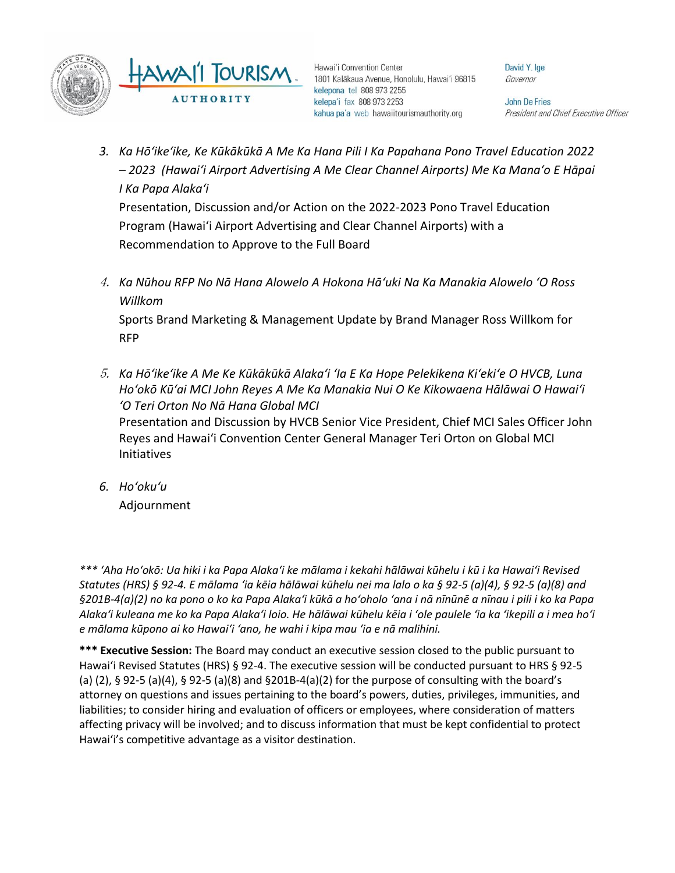

Hawai'i Convention Center 1801 Kalākaua Avenue, Honolulu, Hawai'i 96815 kelepona tel 808 973 2255 kelepa'i fax 808 973 2253 kahua pa'a web hawaiitourismauthority.org

David Y. Ige Governor

**John De Fries** President and Chief Executive Officer

*3. Ka Hōʻikeʻike, Ke Kūkākūkā A Me Ka Hana Pili I Ka Papahana Pono Travel Education 2022 – 2023 (Hawaiʻi Airport Advertising A Me Clear Channel Airports) Me Ka Manaʻo E Hāpai I Ka Papa Alakaʻi*

Presentation, Discussion and/or Action on the 2022-2023 Pono Travel Education Program (Hawaiʻi Airport Advertising and Clear Channel Airports) with a Recommendation to Approve to the Full Board

4. *Ka Nūhou RFP No Nā Hana Alowelo A Hokona Hāʻuki Na Ka Manakia Alowelo ʻO Ross Willkom*

Sports Brand Marketing & Management Update by Brand Manager Ross Willkom for RFP

5. *Ka Hōʻikeʻike A Me Ke Kūkākūkā Alakaʻi ʻIa E Ka Hope Pelekikena Kiʻekiʻe O HVCB, Luna Hoʻokō Kūʻai MCI John Reyes A Me Ka Manakia Nui O Ke Kikowaena Hālāwai O Hawaiʻi ʻO Teri Orton No Nā Hana Global MCI*

Presentation and Discussion by HVCB Senior Vice President, Chief MCI Sales Officer John Reyes and Hawaiʻi Convention Center General Manager Teri Orton on Global MCI Initiatives

*6. Hoʻokuʻu*

Adjournment

*\*\*\* ʻAha Hoʻokō: Ua hiki i ka Papa Alakaʻi ke mālama i kekahi hālāwai kūhelu i kū i ka Hawaiʻi Revised Statutes (HRS) § 92-4. E mālama ʻia kēia hālāwai kūhelu nei ma lalo o ka § 92-5 (a)(4), § 92-5 (a)(8) and §201B-4(a)(2) no ka pono o ko ka Papa Alakaʻi kūkā a hoʻoholo ʻana i nā nīnūnē a nīnau i pili i ko ka Papa Alakaʻi kuleana me ko ka Papa Alakaʻi loio. He hālāwai kūhelu kēia i ʻole paulele ʻia ka ʻikepili a i mea hoʻi e mālama kūpono ai ko Hawaiʻi ʻano, he wahi i kipa mau ʻia e nā malihini.*

**\*\*\* Executive Session:** The Board may conduct an executive session closed to the public pursuant to Hawai'i Revised Statutes (HRS) § 92-4. The executive session will be conducted pursuant to HRS § 92-5 (a) (2), § 92-5 (a)(4), § 92-5 (a)(8) and §201B-4(a)(2) for the purpose of consulting with the board's attorney on questions and issues pertaining to the board's powers, duties, privileges, immunities, and liabilities; to consider hiring and evaluation of officers or employees, where consideration of matters affecting privacy will be involved; and to discuss information that must be kept confidential to protect Hawai'i's competitive advantage as a visitor destination.